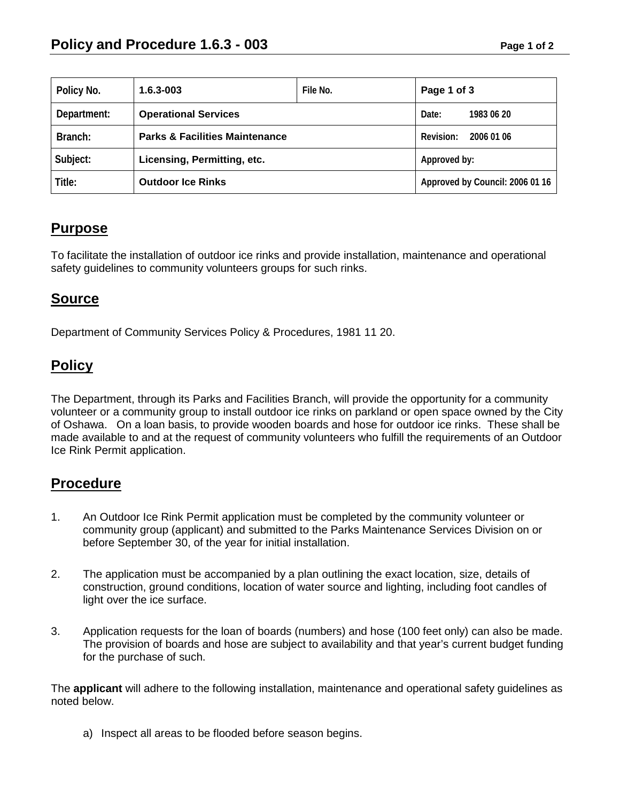| Policy No.  | $1.6.3 - 003$                             | File No. | Page 1 of 3                     |
|-------------|-------------------------------------------|----------|---------------------------------|
| Department: | <b>Operational Services</b>               |          | Date:<br>1983 06 20             |
| Branch:     | <b>Parks &amp; Facilities Maintenance</b> |          | Revision:<br>2006 01 06         |
| Subject:    | Licensing, Permitting, etc.               |          | Approved by:                    |
| Title:      | <b>Outdoor Ice Rinks</b>                  |          | Approved by Council: 2006 01 16 |

# **Purpose**

To facilitate the installation of outdoor ice rinks and provide installation, maintenance and operational safety guidelines to community volunteers groups for such rinks.

### **Source**

Department of Community Services Policy & Procedures, 1981 11 20.

## **Policy**

The Department, through its Parks and Facilities Branch, will provide the opportunity for a community volunteer or a community group to install outdoor ice rinks on parkland or open space owned by the City of Oshawa. On a loan basis, to provide wooden boards and hose for outdoor ice rinks. These shall be made available to and at the request of community volunteers who fulfill the requirements of an Outdoor Ice Rink Permit application.

#### **Procedure**

- 1. An Outdoor Ice Rink Permit application must be completed by the community volunteer or community group (applicant) and submitted to the Parks Maintenance Services Division on or before September 30, of the year for initial installation.
- 2. The application must be accompanied by a plan outlining the exact location, size, details of construction, ground conditions, location of water source and lighting, including foot candles of light over the ice surface.
- 3. Application requests for the loan of boards (numbers) and hose (100 feet only) can also be made. The provision of boards and hose are subject to availability and that year's current budget funding for the purchase of such.

The **applicant** will adhere to the following installation, maintenance and operational safety guidelines as noted below.

a) Inspect all areas to be flooded before season begins.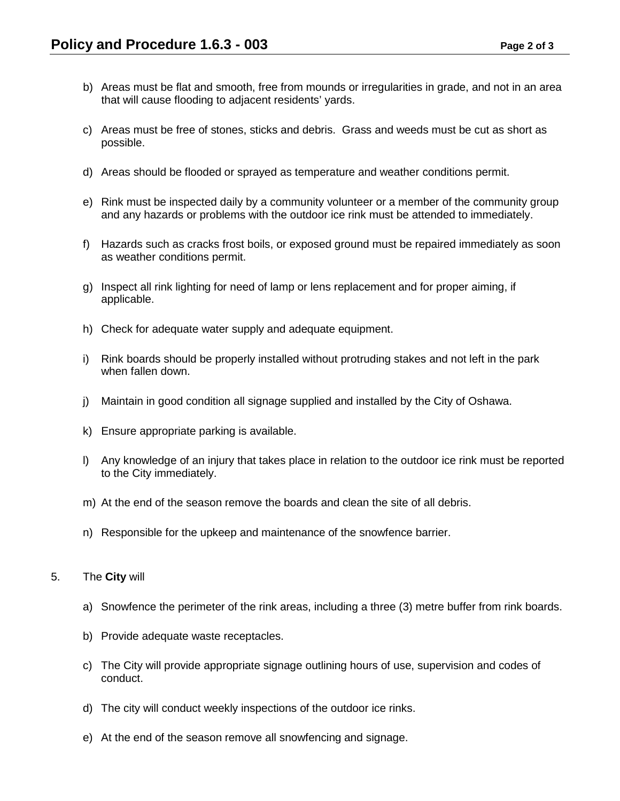- b) Areas must be flat and smooth, free from mounds or irregularities in grade, and not in an area that will cause flooding to adjacent residents' yards.
- c) Areas must be free of stones, sticks and debris. Grass and weeds must be cut as short as possible.
- d) Areas should be flooded or sprayed as temperature and weather conditions permit.
- e) Rink must be inspected daily by a community volunteer or a member of the community group and any hazards or problems with the outdoor ice rink must be attended to immediately.
- f) Hazards such as cracks frost boils, or exposed ground must be repaired immediately as soon as weather conditions permit.
- g) Inspect all rink lighting for need of lamp or lens replacement and for proper aiming, if applicable.
- h) Check for adequate water supply and adequate equipment.
- i) Rink boards should be properly installed without protruding stakes and not left in the park when fallen down.
- j) Maintain in good condition all signage supplied and installed by the City of Oshawa.
- k) Ensure appropriate parking is available.
- l) Any knowledge of an injury that takes place in relation to the outdoor ice rink must be reported to the City immediately.
- m) At the end of the season remove the boards and clean the site of all debris.
- n) Responsible for the upkeep and maintenance of the snowfence barrier.

#### 5. The **City** will

- a) Snowfence the perimeter of the rink areas, including a three (3) metre buffer from rink boards.
- b) Provide adequate waste receptacles.
- c) The City will provide appropriate signage outlining hours of use, supervision and codes of conduct.
- d) The city will conduct weekly inspections of the outdoor ice rinks.
- e) At the end of the season remove all snowfencing and signage.